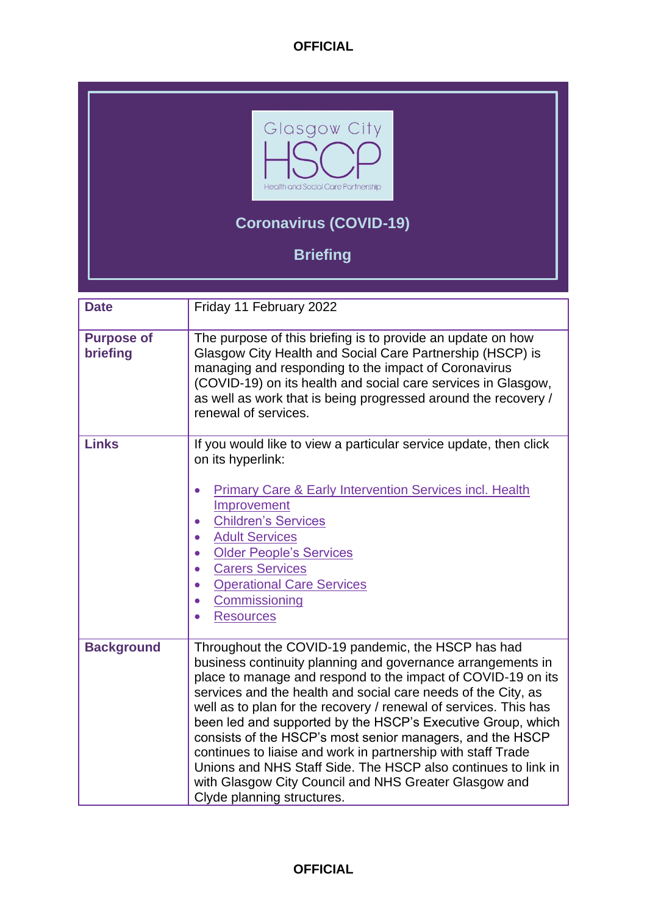

# **Coronavirus (COVID-19)**

**Briefing**

<span id="page-0-0"></span>

| <b>Date</b>                   | Friday 11 February 2022                                                                                                                                                                                                                                                                                                                                                                                                                                                                                                                                                                                                                                                    |
|-------------------------------|----------------------------------------------------------------------------------------------------------------------------------------------------------------------------------------------------------------------------------------------------------------------------------------------------------------------------------------------------------------------------------------------------------------------------------------------------------------------------------------------------------------------------------------------------------------------------------------------------------------------------------------------------------------------------|
| <b>Purpose of</b><br>briefing | The purpose of this briefing is to provide an update on how<br>Glasgow City Health and Social Care Partnership (HSCP) is<br>managing and responding to the impact of Coronavirus<br>(COVID-19) on its health and social care services in Glasgow,<br>as well as work that is being progressed around the recovery /<br>renewal of services.                                                                                                                                                                                                                                                                                                                                |
| <b>Links</b>                  | If you would like to view a particular service update, then click<br>on its hyperlink:<br><b>Primary Care &amp; Early Intervention Services incl. Health</b><br>$\bullet$<br>Improvement<br><b>Children's Services</b><br>$\bullet$<br><b>Adult Services</b><br>$\bullet$<br><b>Older People's Services</b><br><b>Carers Services</b><br>$\bullet$<br><b>Operational Care Services</b><br>$\bullet$<br>Commissioning<br>$\bullet$<br><b>Resources</b><br>$\bullet$                                                                                                                                                                                                         |
| <b>Background</b>             | Throughout the COVID-19 pandemic, the HSCP has had<br>business continuity planning and governance arrangements in<br>place to manage and respond to the impact of COVID-19 on its<br>services and the health and social care needs of the City, as<br>well as to plan for the recovery / renewal of services. This has<br>been led and supported by the HSCP's Executive Group, which<br>consists of the HSCP's most senior managers, and the HSCP<br>continues to liaise and work in partnership with staff Trade<br>Unions and NHS Staff Side. The HSCP also continues to link in<br>with Glasgow City Council and NHS Greater Glasgow and<br>Clyde planning structures. |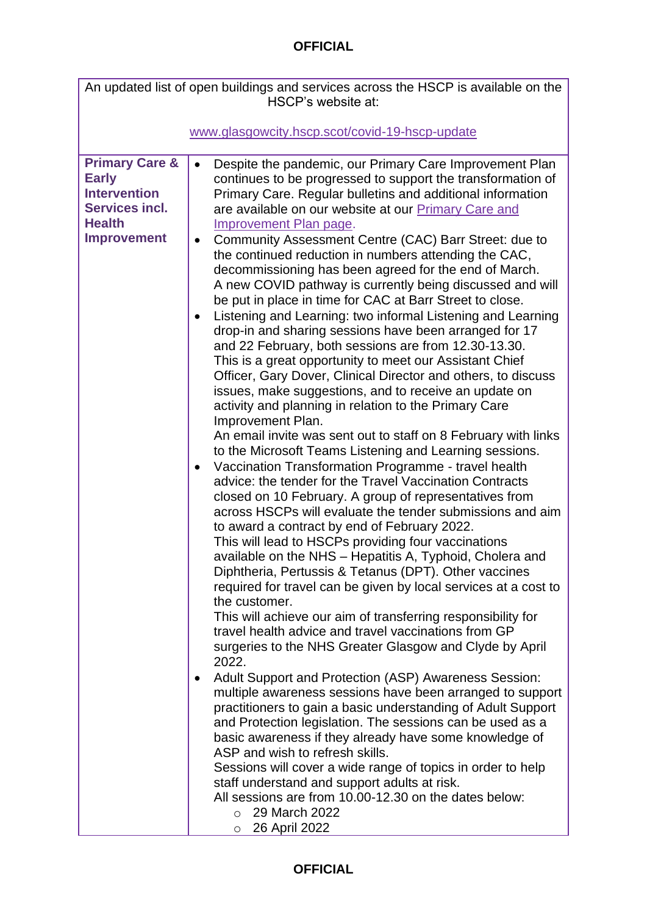<span id="page-1-0"></span>

| An updated list of open buildings and services across the HSCP is available on the<br>HSCP's website at:                         |                                                                                                                                                                                                                                                                                                                                                                                                                                                                                                                                                                                                                                                                                                                                                                                                                                                                                                                                                                                                                                                                                                                                                                                                                                                                                                                                                                                                                                                                                                                                                                                                                                                                                                                                                                                                                                                                                                                                                                                                                                                                                                                                                                                                                                                                                                                                                                                                                                                                                                                                                 |  |
|----------------------------------------------------------------------------------------------------------------------------------|-------------------------------------------------------------------------------------------------------------------------------------------------------------------------------------------------------------------------------------------------------------------------------------------------------------------------------------------------------------------------------------------------------------------------------------------------------------------------------------------------------------------------------------------------------------------------------------------------------------------------------------------------------------------------------------------------------------------------------------------------------------------------------------------------------------------------------------------------------------------------------------------------------------------------------------------------------------------------------------------------------------------------------------------------------------------------------------------------------------------------------------------------------------------------------------------------------------------------------------------------------------------------------------------------------------------------------------------------------------------------------------------------------------------------------------------------------------------------------------------------------------------------------------------------------------------------------------------------------------------------------------------------------------------------------------------------------------------------------------------------------------------------------------------------------------------------------------------------------------------------------------------------------------------------------------------------------------------------------------------------------------------------------------------------------------------------------------------------------------------------------------------------------------------------------------------------------------------------------------------------------------------------------------------------------------------------------------------------------------------------------------------------------------------------------------------------------------------------------------------------------------------------------------------------|--|
|                                                                                                                                  |                                                                                                                                                                                                                                                                                                                                                                                                                                                                                                                                                                                                                                                                                                                                                                                                                                                                                                                                                                                                                                                                                                                                                                                                                                                                                                                                                                                                                                                                                                                                                                                                                                                                                                                                                                                                                                                                                                                                                                                                                                                                                                                                                                                                                                                                                                                                                                                                                                                                                                                                                 |  |
|                                                                                                                                  | www.glasgowcity.hscp.scot/covid-19-hscp-update                                                                                                                                                                                                                                                                                                                                                                                                                                                                                                                                                                                                                                                                                                                                                                                                                                                                                                                                                                                                                                                                                                                                                                                                                                                                                                                                                                                                                                                                                                                                                                                                                                                                                                                                                                                                                                                                                                                                                                                                                                                                                                                                                                                                                                                                                                                                                                                                                                                                                                  |  |
| <b>Primary Care &amp;</b><br><b>Early</b><br><b>Intervention</b><br><b>Services incl.</b><br><b>Health</b><br><b>Improvement</b> | Despite the pandemic, our Primary Care Improvement Plan<br>continues to be progressed to support the transformation of<br>Primary Care. Regular bulletins and additional information<br>are available on our website at our Primary Care and<br><b>Improvement Plan page.</b><br>Community Assessment Centre (CAC) Barr Street: due to<br>$\bullet$<br>the continued reduction in numbers attending the CAC,<br>decommissioning has been agreed for the end of March.<br>A new COVID pathway is currently being discussed and will<br>be put in place in time for CAC at Barr Street to close.<br>Listening and Learning: two informal Listening and Learning<br>drop-in and sharing sessions have been arranged for 17<br>and 22 February, both sessions are from 12.30-13.30.<br>This is a great opportunity to meet our Assistant Chief<br>Officer, Gary Dover, Clinical Director and others, to discuss<br>issues, make suggestions, and to receive an update on<br>activity and planning in relation to the Primary Care<br>Improvement Plan.<br>An email invite was sent out to staff on 8 February with links<br>to the Microsoft Teams Listening and Learning sessions.<br>Vaccination Transformation Programme - travel health<br>$\bullet$<br>advice: the tender for the Travel Vaccination Contracts<br>closed on 10 February. A group of representatives from<br>across HSCPs will evaluate the tender submissions and aim<br>to award a contract by end of February 2022.<br>This will lead to HSCPs providing four vaccinations<br>available on the NHS - Hepatitis A, Typhoid, Cholera and<br>Diphtheria, Pertussis & Tetanus (DPT). Other vaccines<br>required for travel can be given by local services at a cost to<br>the customer.<br>This will achieve our aim of transferring responsibility for<br>travel health advice and travel vaccinations from GP<br>surgeries to the NHS Greater Glasgow and Clyde by April<br>2022.<br>Adult Support and Protection (ASP) Awareness Session:<br>$\bullet$<br>multiple awareness sessions have been arranged to support<br>practitioners to gain a basic understanding of Adult Support<br>and Protection legislation. The sessions can be used as a<br>basic awareness if they already have some knowledge of<br>ASP and wish to refresh skills.<br>Sessions will cover a wide range of topics in order to help<br>staff understand and support adults at risk.<br>All sessions are from 10.00-12.30 on the dates below:<br>29 March 2022<br>$\circ$<br>26 April 2022<br>$\circ$ |  |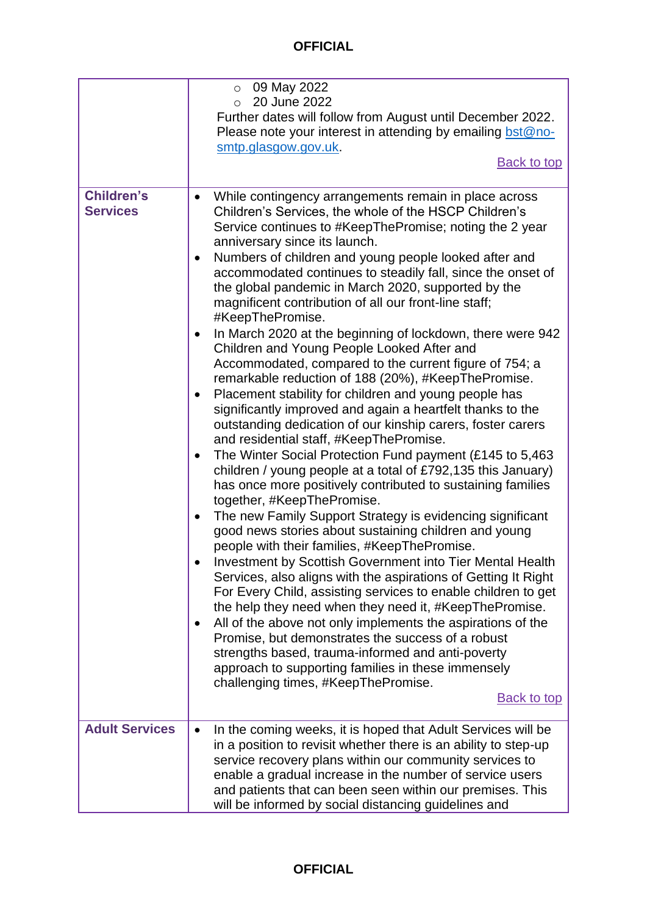<span id="page-2-1"></span><span id="page-2-0"></span>

|                                      | 09 May 2022<br>$\circ$                                                                                                                                                                                                                                                                                                                                                                                                                                                                                                                                                                                                                                                                                                                                                                                                                                                                                                                                                                                                                                                                                                                                                                                                                                                                                                                                                                                                                                                                                                                                                                                                                                                                                                                                                                                                                                                                                            |
|--------------------------------------|-------------------------------------------------------------------------------------------------------------------------------------------------------------------------------------------------------------------------------------------------------------------------------------------------------------------------------------------------------------------------------------------------------------------------------------------------------------------------------------------------------------------------------------------------------------------------------------------------------------------------------------------------------------------------------------------------------------------------------------------------------------------------------------------------------------------------------------------------------------------------------------------------------------------------------------------------------------------------------------------------------------------------------------------------------------------------------------------------------------------------------------------------------------------------------------------------------------------------------------------------------------------------------------------------------------------------------------------------------------------------------------------------------------------------------------------------------------------------------------------------------------------------------------------------------------------------------------------------------------------------------------------------------------------------------------------------------------------------------------------------------------------------------------------------------------------------------------------------------------------------------------------------------------------|
|                                      | 20 June 2022<br>$\circ$                                                                                                                                                                                                                                                                                                                                                                                                                                                                                                                                                                                                                                                                                                                                                                                                                                                                                                                                                                                                                                                                                                                                                                                                                                                                                                                                                                                                                                                                                                                                                                                                                                                                                                                                                                                                                                                                                           |
|                                      | Further dates will follow from August until December 2022.                                                                                                                                                                                                                                                                                                                                                                                                                                                                                                                                                                                                                                                                                                                                                                                                                                                                                                                                                                                                                                                                                                                                                                                                                                                                                                                                                                                                                                                                                                                                                                                                                                                                                                                                                                                                                                                        |
|                                      | Please note your interest in attending by emailing bst@no-                                                                                                                                                                                                                                                                                                                                                                                                                                                                                                                                                                                                                                                                                                                                                                                                                                                                                                                                                                                                                                                                                                                                                                                                                                                                                                                                                                                                                                                                                                                                                                                                                                                                                                                                                                                                                                                        |
|                                      | smtp.glasgow.gov.uk.                                                                                                                                                                                                                                                                                                                                                                                                                                                                                                                                                                                                                                                                                                                                                                                                                                                                                                                                                                                                                                                                                                                                                                                                                                                                                                                                                                                                                                                                                                                                                                                                                                                                                                                                                                                                                                                                                              |
|                                      | <b>Back to top</b>                                                                                                                                                                                                                                                                                                                                                                                                                                                                                                                                                                                                                                                                                                                                                                                                                                                                                                                                                                                                                                                                                                                                                                                                                                                                                                                                                                                                                                                                                                                                                                                                                                                                                                                                                                                                                                                                                                |
|                                      |                                                                                                                                                                                                                                                                                                                                                                                                                                                                                                                                                                                                                                                                                                                                                                                                                                                                                                                                                                                                                                                                                                                                                                                                                                                                                                                                                                                                                                                                                                                                                                                                                                                                                                                                                                                                                                                                                                                   |
| <b>Children's</b><br><b>Services</b> | While contingency arrangements remain in place across<br>Children's Services, the whole of the HSCP Children's<br>Service continues to #KeepThePromise; noting the 2 year<br>anniversary since its launch.<br>Numbers of children and young people looked after and<br>$\bullet$<br>accommodated continues to steadily fall, since the onset of<br>the global pandemic in March 2020, supported by the<br>magnificent contribution of all our front-line staff;<br>#KeepThePromise.<br>In March 2020 at the beginning of lockdown, there were 942<br>$\bullet$<br>Children and Young People Looked After and<br>Accommodated, compared to the current figure of 754; a<br>remarkable reduction of 188 (20%), #KeepThePromise.<br>Placement stability for children and young people has<br>$\bullet$<br>significantly improved and again a heartfelt thanks to the<br>outstanding dedication of our kinship carers, foster carers<br>and residential staff, #KeepThePromise.<br>The Winter Social Protection Fund payment (£145 to 5,463<br>$\bullet$<br>children / young people at a total of £792,135 this January)<br>has once more positively contributed to sustaining families<br>together, #KeepThePromise.<br>The new Family Support Strategy is evidencing significant<br>$\bullet$<br>good news stories about sustaining children and young<br>people with their families, #KeepThePromise.<br><b>Investment by Scottish Government into Tier Mental Health</b><br>Services, also aligns with the aspirations of Getting It Right<br>For Every Child, assisting services to enable children to get<br>the help they need when they need it, #KeepThePromise.<br>All of the above not only implements the aspirations of the<br>$\bullet$<br>Promise, but demonstrates the success of a robust<br>strengths based, trauma-informed and anti-poverty<br>approach to supporting families in these immensely |
|                                      | challenging times, #KeepThePromise.                                                                                                                                                                                                                                                                                                                                                                                                                                                                                                                                                                                                                                                                                                                                                                                                                                                                                                                                                                                                                                                                                                                                                                                                                                                                                                                                                                                                                                                                                                                                                                                                                                                                                                                                                                                                                                                                               |
|                                      | <b>Back to top</b>                                                                                                                                                                                                                                                                                                                                                                                                                                                                                                                                                                                                                                                                                                                                                                                                                                                                                                                                                                                                                                                                                                                                                                                                                                                                                                                                                                                                                                                                                                                                                                                                                                                                                                                                                                                                                                                                                                |
| <b>Adult Services</b>                | In the coming weeks, it is hoped that Adult Services will be<br>in a position to revisit whether there is an ability to step-up<br>service recovery plans within our community services to<br>enable a gradual increase in the number of service users<br>and patients that can been seen within our premises. This<br>will be informed by social distancing guidelines and                                                                                                                                                                                                                                                                                                                                                                                                                                                                                                                                                                                                                                                                                                                                                                                                                                                                                                                                                                                                                                                                                                                                                                                                                                                                                                                                                                                                                                                                                                                                       |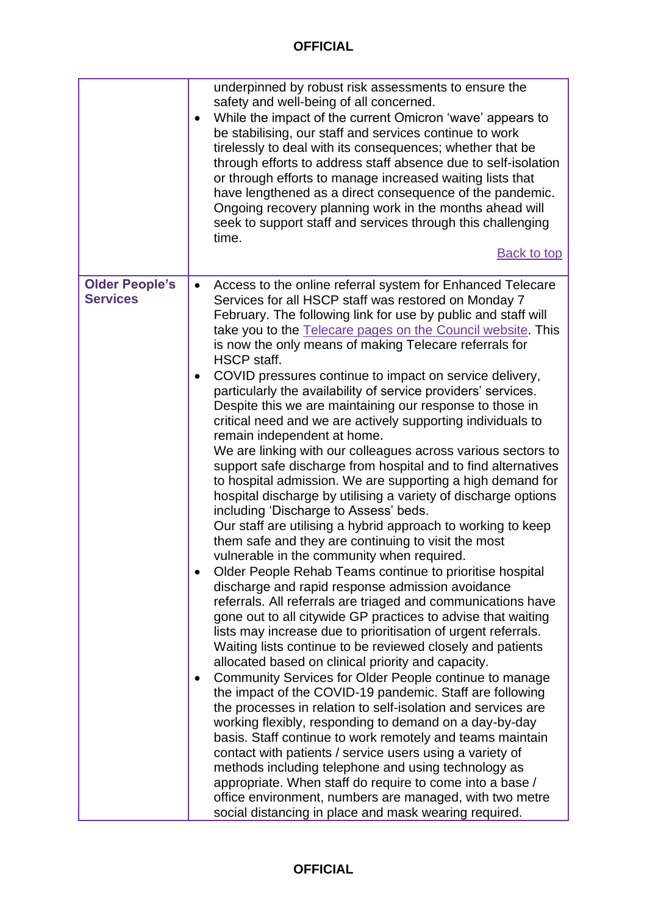<span id="page-3-0"></span>

|                                          | underpinned by robust risk assessments to ensure the<br>safety and well-being of all concerned.<br>While the impact of the current Omicron 'wave' appears to<br>be stabilising, our staff and services continue to work<br>tirelessly to deal with its consequences; whether that be<br>through efforts to address staff absence due to self-isolation<br>or through efforts to manage increased waiting lists that<br>have lengthened as a direct consequence of the pandemic.<br>Ongoing recovery planning work in the months ahead will<br>seek to support staff and services through this challenging<br>time.<br><b>Back to top</b>                                                                                                                                                                                                                                                                                                                                                                                                                                                                                                                                                                                                                                                                                                                                                                                                                                                                                                                                                                                                                                                                                                                                                                                                                                                                                                                                                                                                                                                                                                              |
|------------------------------------------|-------------------------------------------------------------------------------------------------------------------------------------------------------------------------------------------------------------------------------------------------------------------------------------------------------------------------------------------------------------------------------------------------------------------------------------------------------------------------------------------------------------------------------------------------------------------------------------------------------------------------------------------------------------------------------------------------------------------------------------------------------------------------------------------------------------------------------------------------------------------------------------------------------------------------------------------------------------------------------------------------------------------------------------------------------------------------------------------------------------------------------------------------------------------------------------------------------------------------------------------------------------------------------------------------------------------------------------------------------------------------------------------------------------------------------------------------------------------------------------------------------------------------------------------------------------------------------------------------------------------------------------------------------------------------------------------------------------------------------------------------------------------------------------------------------------------------------------------------------------------------------------------------------------------------------------------------------------------------------------------------------------------------------------------------------------------------------------------------------------------------------------------------------|
| <b>Older People's</b><br><b>Services</b> | Access to the online referral system for Enhanced Telecare<br>Services for all HSCP staff was restored on Monday 7<br>February. The following link for use by public and staff will<br>take you to the Telecare pages on the Council website. This<br>is now the only means of making Telecare referrals for<br>HSCP staff.<br>COVID pressures continue to impact on service delivery,<br>particularly the availability of service providers' services.<br>Despite this we are maintaining our response to those in<br>critical need and we are actively supporting individuals to<br>remain independent at home.<br>We are linking with our colleagues across various sectors to<br>support safe discharge from hospital and to find alternatives<br>to hospital admission. We are supporting a high demand for<br>hospital discharge by utilising a variety of discharge options<br>including 'Discharge to Assess' beds.<br>Our staff are utilising a hybrid approach to working to keep<br>them safe and they are continuing to visit the most<br>vulnerable in the community when required.<br>Older People Rehab Teams continue to prioritise hospital<br>discharge and rapid response admission avoidance<br>referrals. All referrals are triaged and communications have<br>gone out to all citywide GP practices to advise that waiting<br>lists may increase due to prioritisation of urgent referrals.<br>Waiting lists continue to be reviewed closely and patients<br>allocated based on clinical priority and capacity.<br>Community Services for Older People continue to manage<br>the impact of the COVID-19 pandemic. Staff are following<br>the processes in relation to self-isolation and services are<br>working flexibly, responding to demand on a day-by-day<br>basis. Staff continue to work remotely and teams maintain<br>contact with patients / service users using a variety of<br>methods including telephone and using technology as<br>appropriate. When staff do require to come into a base /<br>office environment, numbers are managed, with two metre<br>social distancing in place and mask wearing required. |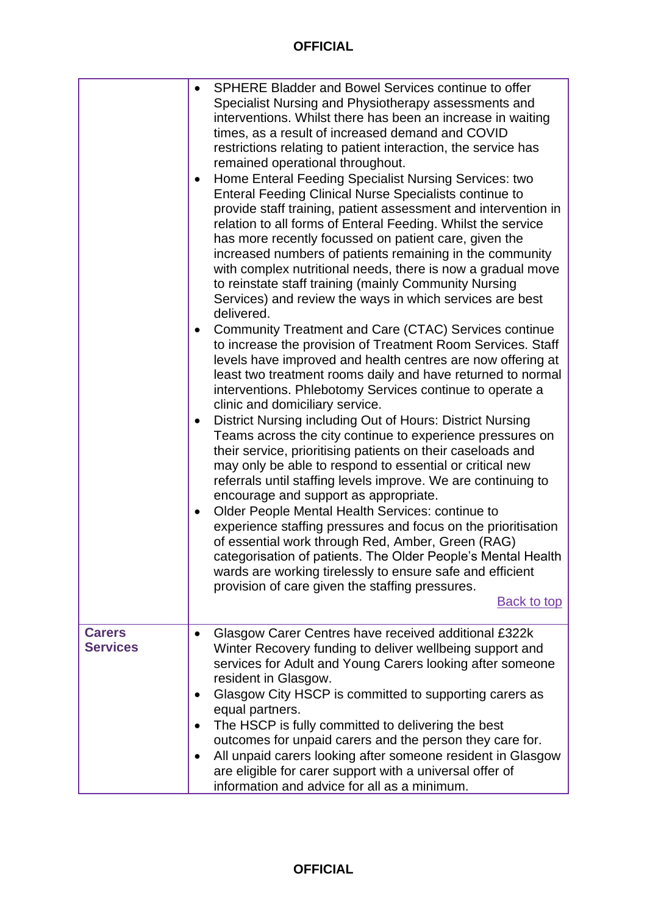<span id="page-4-0"></span>

|                                  | SPHERE Bladder and Bowel Services continue to offer<br>$\bullet$<br>Specialist Nursing and Physiotherapy assessments and<br>interventions. Whilst there has been an increase in waiting<br>times, as a result of increased demand and COVID<br>restrictions relating to patient interaction, the service has<br>remained operational throughout.<br>Home Enteral Feeding Specialist Nursing Services: two<br>$\bullet$<br><b>Enteral Feeding Clinical Nurse Specialists continue to</b><br>provide staff training, patient assessment and intervention in<br>relation to all forms of Enteral Feeding. Whilst the service<br>has more recently focussed on patient care, given the<br>increased numbers of patients remaining in the community<br>with complex nutritional needs, there is now a gradual move<br>to reinstate staff training (mainly Community Nursing<br>Services) and review the ways in which services are best<br>delivered.<br>Community Treatment and Care (CTAC) Services continue<br>$\bullet$<br>to increase the provision of Treatment Room Services. Staff<br>levels have improved and health centres are now offering at<br>least two treatment rooms daily and have returned to normal<br>interventions. Phlebotomy Services continue to operate a<br>clinic and domiciliary service.<br>District Nursing including Out of Hours: District Nursing<br>$\bullet$<br>Teams across the city continue to experience pressures on<br>their service, prioritising patients on their caseloads and<br>may only be able to respond to essential or critical new<br>referrals until staffing levels improve. We are continuing to<br>encourage and support as appropriate.<br>Older People Mental Health Services: continue to<br>$\bullet$<br>experience staffing pressures and focus on the prioritisation<br>of essential work through Red, Amber, Green (RAG)<br>categorisation of patients. The Older People's Mental Health<br>wards are working tirelessly to ensure safe and efficient<br>provision of care given the staffing pressures.<br><b>Back to top</b> |
|----------------------------------|---------------------------------------------------------------------------------------------------------------------------------------------------------------------------------------------------------------------------------------------------------------------------------------------------------------------------------------------------------------------------------------------------------------------------------------------------------------------------------------------------------------------------------------------------------------------------------------------------------------------------------------------------------------------------------------------------------------------------------------------------------------------------------------------------------------------------------------------------------------------------------------------------------------------------------------------------------------------------------------------------------------------------------------------------------------------------------------------------------------------------------------------------------------------------------------------------------------------------------------------------------------------------------------------------------------------------------------------------------------------------------------------------------------------------------------------------------------------------------------------------------------------------------------------------------------------------------------------------------------------------------------------------------------------------------------------------------------------------------------------------------------------------------------------------------------------------------------------------------------------------------------------------------------------------------------------------------------------------------------------------------------------------------------------------------------------------------------------|
| <b>Carers</b><br><b>Services</b> | Glasgow Carer Centres have received additional £322k<br>Winter Recovery funding to deliver wellbeing support and<br>services for Adult and Young Carers looking after someone<br>resident in Glasgow.<br>Glasgow City HSCP is committed to supporting carers as<br>٠<br>equal partners.<br>The HSCP is fully committed to delivering the best<br>outcomes for unpaid carers and the person they care for.<br>All unpaid carers looking after someone resident in Glasgow<br>$\bullet$<br>are eligible for carer support with a universal offer of<br>information and advice for all as a minimum.                                                                                                                                                                                                                                                                                                                                                                                                                                                                                                                                                                                                                                                                                                                                                                                                                                                                                                                                                                                                                                                                                                                                                                                                                                                                                                                                                                                                                                                                                           |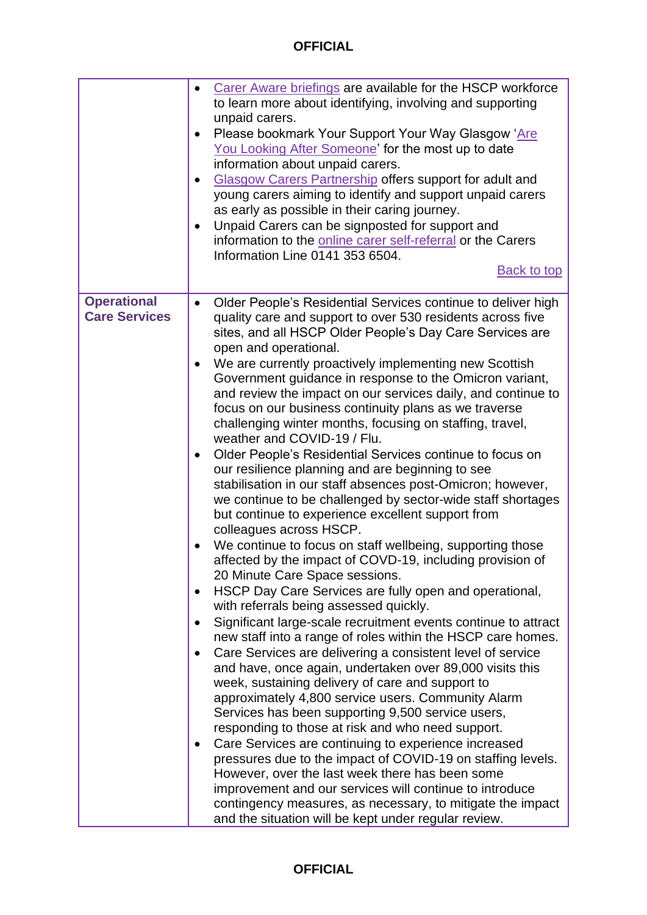|                                            | Carer Aware briefings are available for the HSCP workforce<br>to learn more about identifying, involving and supporting<br>unpaid carers.<br>Please bookmark Your Support Your Way Glasgow 'Are<br>$\bullet$<br>You Looking After Someone' for the most up to date<br>information about unpaid carers.<br><b>Glasgow Carers Partnership offers support for adult and</b><br>$\bullet$<br>young carers aiming to identify and support unpaid carers<br>as early as possible in their caring journey.<br>Unpaid Carers can be signposted for support and<br>٠<br>information to the <b>online carer self-referral</b> or the Carers<br>Information Line 0141 353 6504.<br><b>Back to top</b>                                                                                                                                                                                                                                                                                                                                                                                                                                                                                                                                                                                                                                                                                                                                                                                                                                                                                                                                                                                                                                                                                                                                                                                                                                                                                                                                             |
|--------------------------------------------|----------------------------------------------------------------------------------------------------------------------------------------------------------------------------------------------------------------------------------------------------------------------------------------------------------------------------------------------------------------------------------------------------------------------------------------------------------------------------------------------------------------------------------------------------------------------------------------------------------------------------------------------------------------------------------------------------------------------------------------------------------------------------------------------------------------------------------------------------------------------------------------------------------------------------------------------------------------------------------------------------------------------------------------------------------------------------------------------------------------------------------------------------------------------------------------------------------------------------------------------------------------------------------------------------------------------------------------------------------------------------------------------------------------------------------------------------------------------------------------------------------------------------------------------------------------------------------------------------------------------------------------------------------------------------------------------------------------------------------------------------------------------------------------------------------------------------------------------------------------------------------------------------------------------------------------------------------------------------------------------------------------------------------------|
| <b>Operational</b><br><b>Care Services</b> | Older People's Residential Services continue to deliver high<br>$\bullet$<br>quality care and support to over 530 residents across five<br>sites, and all HSCP Older People's Day Care Services are<br>open and operational.<br>We are currently proactively implementing new Scottish<br>$\bullet$<br>Government guidance in response to the Omicron variant,<br>and review the impact on our services daily, and continue to<br>focus on our business continuity plans as we traverse<br>challenging winter months, focusing on staffing, travel,<br>weather and COVID-19 / Flu.<br>Older People's Residential Services continue to focus on<br>$\bullet$<br>our resilience planning and are beginning to see<br>stabilisation in our staff absences post-Omicron; however,<br>we continue to be challenged by sector-wide staff shortages<br>but continue to experience excellent support from<br>colleagues across HSCP.<br>We continue to focus on staff wellbeing, supporting those<br>affected by the impact of COVD-19, including provision of<br>20 Minute Care Space sessions.<br>HSCP Day Care Services are fully open and operational,<br>with referrals being assessed quickly.<br>Significant large-scale recruitment events continue to attract<br>new staff into a range of roles within the HSCP care homes.<br>Care Services are delivering a consistent level of service<br>and have, once again, undertaken over 89,000 visits this<br>week, sustaining delivery of care and support to<br>approximately 4,800 service users. Community Alarm<br>Services has been supporting 9,500 service users,<br>responding to those at risk and who need support.<br>Care Services are continuing to experience increased<br>pressures due to the impact of COVID-19 on staffing levels.<br>However, over the last week there has been some<br>improvement and our services will continue to introduce<br>contingency measures, as necessary, to mitigate the impact<br>and the situation will be kept under regular review. |